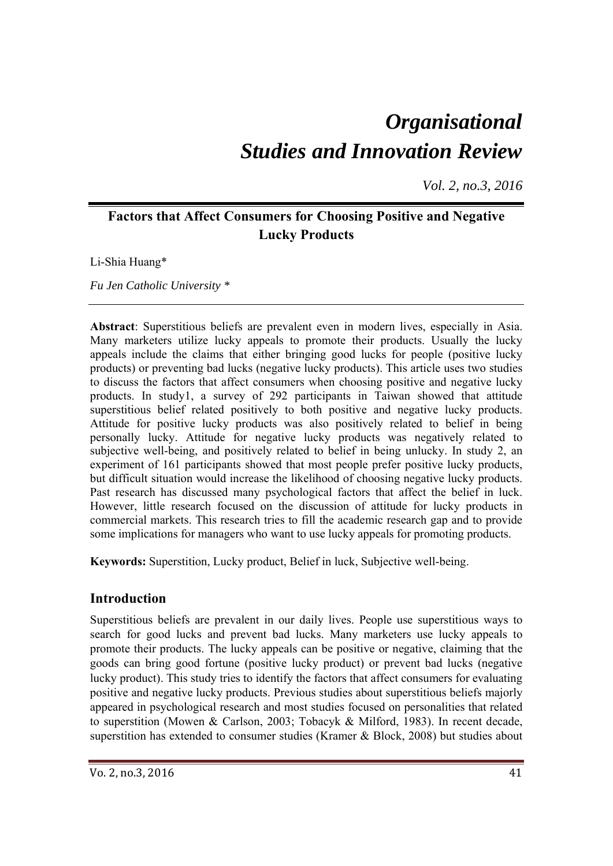# *Organisational Studies and Innovation Review*

*Vol. 2, no.3, 2016*

# **Factors that Affect Consumers for Choosing Positive and Negative Lucky Products**

Li-Shia Huang\*

*Fu Jen Catholic University \** 

**Abstract**: Superstitious beliefs are prevalent even in modern lives, especially in Asia. Many marketers utilize lucky appeals to promote their products. Usually the lucky appeals include the claims that either bringing good lucks for people (positive lucky products) or preventing bad lucks (negative lucky products). This article uses two studies to discuss the factors that affect consumers when choosing positive and negative lucky products. In study1, a survey of 292 participants in Taiwan showed that attitude superstitious belief related positively to both positive and negative lucky products. Attitude for positive lucky products was also positively related to belief in being personally lucky. Attitude for negative lucky products was negatively related to subjective well-being, and positively related to belief in being unlucky. In study 2, an experiment of 161 participants showed that most people prefer positive lucky products, but difficult situation would increase the likelihood of choosing negative lucky products. Past research has discussed many psychological factors that affect the belief in luck. However, little research focused on the discussion of attitude for lucky products in commercial markets. This research tries to fill the academic research gap and to provide some implications for managers who want to use lucky appeals for promoting products.

**Keywords:** Superstition, Lucky product, Belief in luck, Subjective well-being.

# **Introduction**

Superstitious beliefs are prevalent in our daily lives. People use superstitious ways to search for good lucks and prevent bad lucks. Many marketers use lucky appeals to promote their products. The lucky appeals can be positive or negative, claiming that the goods can bring good fortune (positive lucky product) or prevent bad lucks (negative lucky product). This study tries to identify the factors that affect consumers for evaluating positive and negative lucky products. Previous studies about superstitious beliefs majorly appeared in psychological research and most studies focused on personalities that related to superstition (Mowen & Carlson, 2003; Tobacyk & Milford, 1983). In recent decade, superstition has extended to consumer studies (Kramer & Block, 2008) but studies about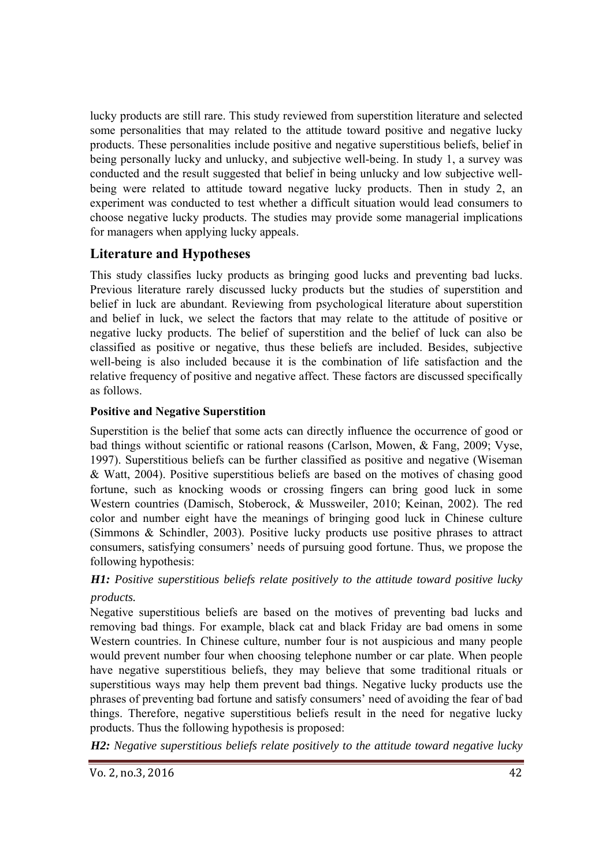lucky products are still rare. This study reviewed from superstition literature and selected some personalities that may related to the attitude toward positive and negative lucky products. These personalities include positive and negative superstitious beliefs, belief in being personally lucky and unlucky, and subjective well-being. In study 1, a survey was conducted and the result suggested that belief in being unlucky and low subjective wellbeing were related to attitude toward negative lucky products. Then in study 2, an experiment was conducted to test whether a difficult situation would lead consumers to choose negative lucky products. The studies may provide some managerial implications for managers when applying lucky appeals.

# **Literature and Hypotheses**

This study classifies lucky products as bringing good lucks and preventing bad lucks. Previous literature rarely discussed lucky products but the studies of superstition and belief in luck are abundant. Reviewing from psychological literature about superstition and belief in luck, we select the factors that may relate to the attitude of positive or negative lucky products. The belief of superstition and the belief of luck can also be classified as positive or negative, thus these beliefs are included. Besides, subjective well-being is also included because it is the combination of life satisfaction and the relative frequency of positive and negative affect. These factors are discussed specifically as follows.

## **Positive and Negative Superstition**

Superstition is the belief that some acts can directly influence the occurrence of good or bad things without scientific or rational reasons (Carlson, Mowen, & Fang, 2009; Vyse, 1997). Superstitious beliefs can be further classified as positive and negative (Wiseman & Watt, 2004). Positive superstitious beliefs are based on the motives of chasing good fortune, such as knocking woods or crossing fingers can bring good luck in some Western countries (Damisch, Stoberock, & Mussweiler, 2010; Keinan, 2002). The red color and number eight have the meanings of bringing good luck in Chinese culture (Simmons & Schindler, 2003). Positive lucky products use positive phrases to attract consumers, satisfying consumers' needs of pursuing good fortune. Thus, we propose the following hypothesis:

# *H1: Positive superstitious beliefs relate positively to the attitude toward positive lucky products.*

Negative superstitious beliefs are based on the motives of preventing bad lucks and removing bad things. For example, black cat and black Friday are bad omens in some Western countries. In Chinese culture, number four is not auspicious and many people would prevent number four when choosing telephone number or car plate. When people have negative superstitious beliefs, they may believe that some traditional rituals or superstitious ways may help them prevent bad things. Negative lucky products use the phrases of preventing bad fortune and satisfy consumers' need of avoiding the fear of bad things. Therefore, negative superstitious beliefs result in the need for negative lucky products. Thus the following hypothesis is proposed:

*H2: Negative superstitious beliefs relate positively to the attitude toward negative lucky*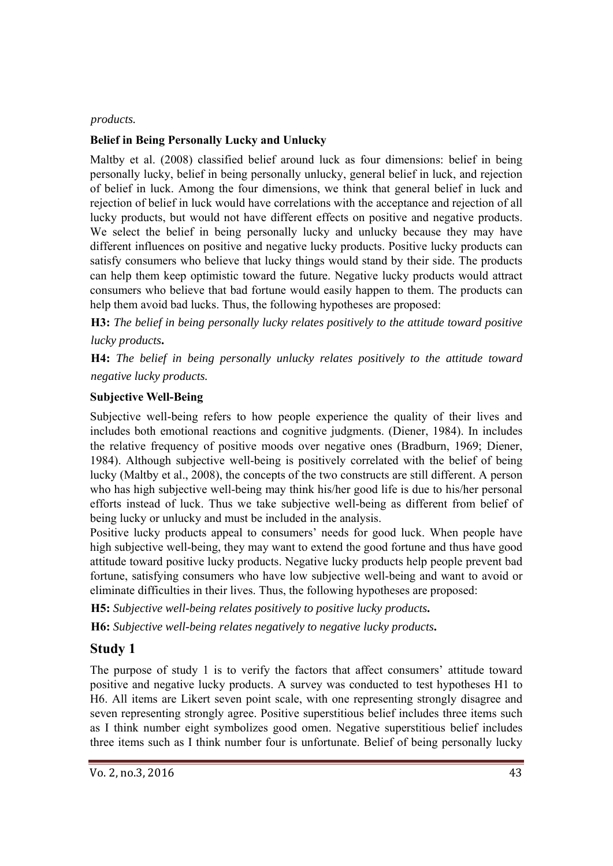#### *products.*

### **Belief in Being Personally Lucky and Unlucky**

Maltby et al. (2008) classified belief around luck as four dimensions: belief in being personally lucky, belief in being personally unlucky, general belief in luck, and rejection of belief in luck. Among the four dimensions, we think that general belief in luck and rejection of belief in luck would have correlations with the acceptance and rejection of all lucky products, but would not have different effects on positive and negative products. We select the belief in being personally lucky and unlucky because they may have different influences on positive and negative lucky products. Positive lucky products can satisfy consumers who believe that lucky things would stand by their side. The products can help them keep optimistic toward the future. Negative lucky products would attract consumers who believe that bad fortune would easily happen to them. The products can help them avoid bad lucks. Thus, the following hypotheses are proposed:

**H3:** *The belief in being personally lucky relates positively to the attitude toward positive lucky products***.** 

**H4:** *The belief in being personally unlucky relates positively to the attitude toward negative lucky products.* 

#### **Subjective Well-Being**

Subjective well-being refers to how people experience the quality of their lives and includes both emotional reactions and cognitive judgments. (Diener, 1984). In includes the relative frequency of positive moods over negative ones (Bradburn, 1969; Diener, 1984). Although subjective well-being is positively correlated with the belief of being lucky (Maltby et al., 2008), the concepts of the two constructs are still different. A person who has high subjective well-being may think his/her good life is due to his/her personal efforts instead of luck. Thus we take subjective well-being as different from belief of being lucky or unlucky and must be included in the analysis.

Positive lucky products appeal to consumers' needs for good luck. When people have high subjective well-being, they may want to extend the good fortune and thus have good attitude toward positive lucky products. Negative lucky products help people prevent bad fortune, satisfying consumers who have low subjective well-being and want to avoid or eliminate difficulties in their lives. Thus, the following hypotheses are proposed:

**H5:** *Subjective well-being relates positively to positive lucky products***.** 

**H6:** *Subjective well-being relates negatively to negative lucky products***.** 

# **Study 1**

The purpose of study 1 is to verify the factors that affect consumers' attitude toward positive and negative lucky products. A survey was conducted to test hypotheses H1 to H6. All items are Likert seven point scale, with one representing strongly disagree and seven representing strongly agree. Positive superstitious belief includes three items such as I think number eight symbolizes good omen. Negative superstitious belief includes three items such as I think number four is unfortunate. Belief of being personally lucky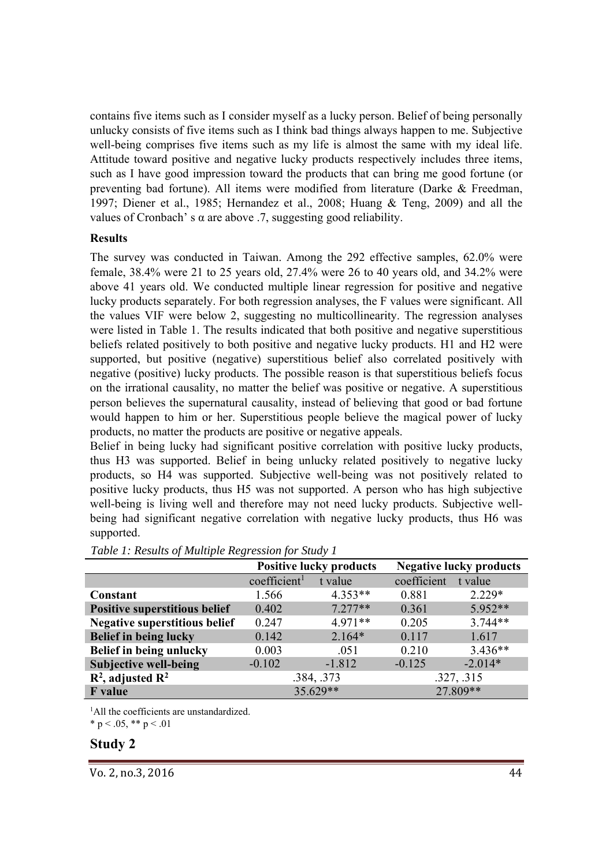contains five items such as I consider myself as a lucky person. Belief of being personally unlucky consists of five items such as I think bad things always happen to me. Subjective well-being comprises five items such as my life is almost the same with my ideal life. Attitude toward positive and negative lucky products respectively includes three items, such as I have good impression toward the products that can bring me good fortune (or preventing bad fortune). All items were modified from literature (Darke & Freedman, 1997; Diener et al., 1985; Hernandez et al., 2008; Huang & Teng, 2009) and all the values of Cronbach' s  $\alpha$  are above .7, suggesting good reliability.

#### **Results**

The survey was conducted in Taiwan. Among the 292 effective samples, 62.0% were female, 38.4% were 21 to 25 years old, 27.4% were 26 to 40 years old, and 34.2% were above 41 years old. We conducted multiple linear regression for positive and negative lucky products separately. For both regression analyses, the F values were significant. All the values VIF were below 2, suggesting no multicollinearity. The regression analyses were listed in Table 1. The results indicated that both positive and negative superstitious beliefs related positively to both positive and negative lucky products. H1 and H2 were supported, but positive (negative) superstitious belief also correlated positively with negative (positive) lucky products. The possible reason is that superstitious beliefs focus on the irrational causality, no matter the belief was positive or negative. A superstitious person believes the supernatural causality, instead of believing that good or bad fortune would happen to him or her. Superstitious people believe the magical power of lucky products, no matter the products are positive or negative appeals.

Belief in being lucky had significant positive correlation with positive lucky products, thus H3 was supported. Belief in being unlucky related positively to negative lucky products, so H4 was supported. Subjective well-being was not positively related to positive lucky products, thus H5 was not supported. A person who has high subjective well-being is living well and therefore may not need lucky products. Subjective wellbeing had significant negative correlation with negative lucky products, thus H6 was supported.

|                                      | <b>Positive lucky products</b> |           | <b>Negative lucky products</b> |           |
|--------------------------------------|--------------------------------|-----------|--------------------------------|-----------|
|                                      | coefficient <sup>1</sup>       | t value   | coefficient                    | t value   |
| Constant                             | 1.566                          | $4.353**$ | 0.881                          | $2.229*$  |
| <b>Positive superstitious belief</b> | 0.402                          | $7.277**$ | 0.361                          | $5.952**$ |
| Negative superstitious belief        | 0.247                          | $4.971**$ | 0.205                          | $3.744**$ |
| <b>Belief in being lucky</b>         | 0.142                          | $2.164*$  | 0.117                          | 1.617     |
| Belief in being unlucky              | 0.003                          | .051      | 0.210                          | $3.436**$ |
| <b>Subjective well-being</b>         | $-0.102$                       | $-1.812$  | $-0.125$                       | $-2.014*$ |
| $R^2$ , adjusted $R^2$               | .384, .373                     |           | .327, .315                     |           |
| <b>F</b> value                       | 35.629**                       |           | 27.809**                       |           |

<sup>1</sup>All the coefficients are unstandardized.

\* p < .05, \*\* p < .01

#### **Study 2**

Vo. 2, no.3, 2016 44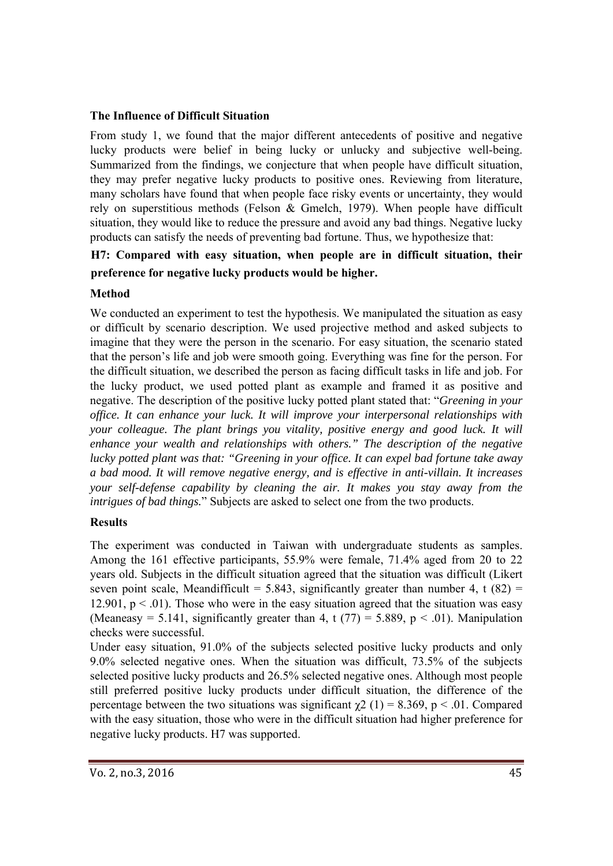## **The Influence of Difficult Situation**

From study 1, we found that the major different antecedents of positive and negative lucky products were belief in being lucky or unlucky and subjective well-being. Summarized from the findings, we conjecture that when people have difficult situation, they may prefer negative lucky products to positive ones. Reviewing from literature, many scholars have found that when people face risky events or uncertainty, they would rely on superstitious methods (Felson & Gmelch, 1979). When people have difficult situation, they would like to reduce the pressure and avoid any bad things. Negative lucky products can satisfy the needs of preventing bad fortune. Thus, we hypothesize that:

# **H7: Compared with easy situation, when people are in difficult situation, their preference for negative lucky products would be higher.**

# **Method**

We conducted an experiment to test the hypothesis. We manipulated the situation as easy or difficult by scenario description. We used projective method and asked subjects to imagine that they were the person in the scenario. For easy situation, the scenario stated that the person's life and job were smooth going. Everything was fine for the person. For the difficult situation, we described the person as facing difficult tasks in life and job. For the lucky product, we used potted plant as example and framed it as positive and negative. The description of the positive lucky potted plant stated that: "*Greening in your office. It can enhance your luck. It will improve your interpersonal relationships with your colleague. The plant brings you vitality, positive energy and good luck. It will enhance your wealth and relationships with others." The description of the negative lucky potted plant was that: "Greening in your office. It can expel bad fortune take away a bad mood. It will remove negative energy, and is effective in anti-villain. It increases your self-defense capability by cleaning the air. It makes you stay away from the intrigues of bad things.*" Subjects are asked to select one from the two products.

# **Results**

The experiment was conducted in Taiwan with undergraduate students as samples. Among the 161 effective participants, 55.9% were female, 71.4% aged from 20 to 22 years old. Subjects in the difficult situation agreed that the situation was difficult (Likert seven point scale, Meandifficult = 5.843, significantly greater than number 4, t  $(82)$  = 12.901,  $p < 0.01$ ). Those who were in the easy situation agreed that the situation was easy (Meaneasy = 5.141, significantly greater than 4, t  $(77)$  = 5.889, p < .01). Manipulation checks were successful.

Under easy situation, 91.0% of the subjects selected positive lucky products and only 9.0% selected negative ones. When the situation was difficult, 73.5% of the subjects selected positive lucky products and 26.5% selected negative ones. Although most people still preferred positive lucky products under difficult situation, the difference of the percentage between the two situations was significant  $\gamma$ 2 (1) = 8.369, p < .01. Compared with the easy situation, those who were in the difficult situation had higher preference for negative lucky products. H7 was supported.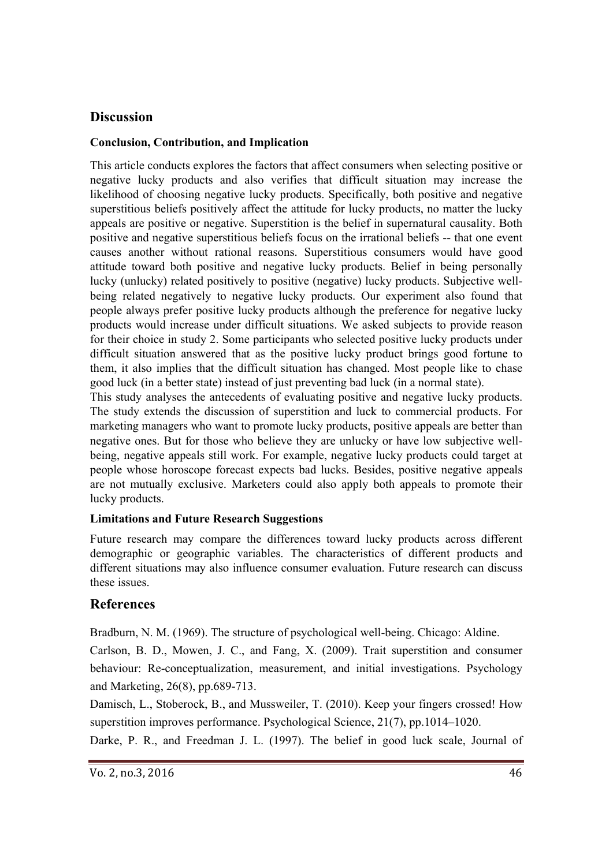# **Discussion**

## **Conclusion, Contribution, and Implication**

This article conducts explores the factors that affect consumers when selecting positive or negative lucky products and also verifies that difficult situation may increase the likelihood of choosing negative lucky products. Specifically, both positive and negative superstitious beliefs positively affect the attitude for lucky products, no matter the lucky appeals are positive or negative. Superstition is the belief in supernatural causality. Both positive and negative superstitious beliefs focus on the irrational beliefs -- that one event causes another without rational reasons. Superstitious consumers would have good attitude toward both positive and negative lucky products. Belief in being personally lucky (unlucky) related positively to positive (negative) lucky products. Subjective wellbeing related negatively to negative lucky products. Our experiment also found that people always prefer positive lucky products although the preference for negative lucky products would increase under difficult situations. We asked subjects to provide reason for their choice in study 2. Some participants who selected positive lucky products under difficult situation answered that as the positive lucky product brings good fortune to them, it also implies that the difficult situation has changed. Most people like to chase good luck (in a better state) instead of just preventing bad luck (in a normal state).

This study analyses the antecedents of evaluating positive and negative lucky products. The study extends the discussion of superstition and luck to commercial products. For marketing managers who want to promote lucky products, positive appeals are better than negative ones. But for those who believe they are unlucky or have low subjective wellbeing, negative appeals still work. For example, negative lucky products could target at people whose horoscope forecast expects bad lucks. Besides, positive negative appeals are not mutually exclusive. Marketers could also apply both appeals to promote their lucky products.

# **Limitations and Future Research Suggestions**

Future research may compare the differences toward lucky products across different demographic or geographic variables. The characteristics of different products and different situations may also influence consumer evaluation. Future research can discuss these issues.

# **References**

Bradburn, N. M. (1969). The structure of psychological well-being. Chicago: Aldine.

Carlson, B. D., Mowen, J. C., and Fang, X. (2009). Trait superstition and consumer behaviour: Re-conceptualization, measurement, and initial investigations. Psychology and Marketing, 26(8), pp.689-713.

Damisch, L., Stoberock, B., and Mussweiler, T. (2010). Keep your fingers crossed! How superstition improves performance. Psychological Science, 21(7), pp.1014–1020.

Darke, P. R., and Freedman J. L. (1997). The belief in good luck scale, Journal of